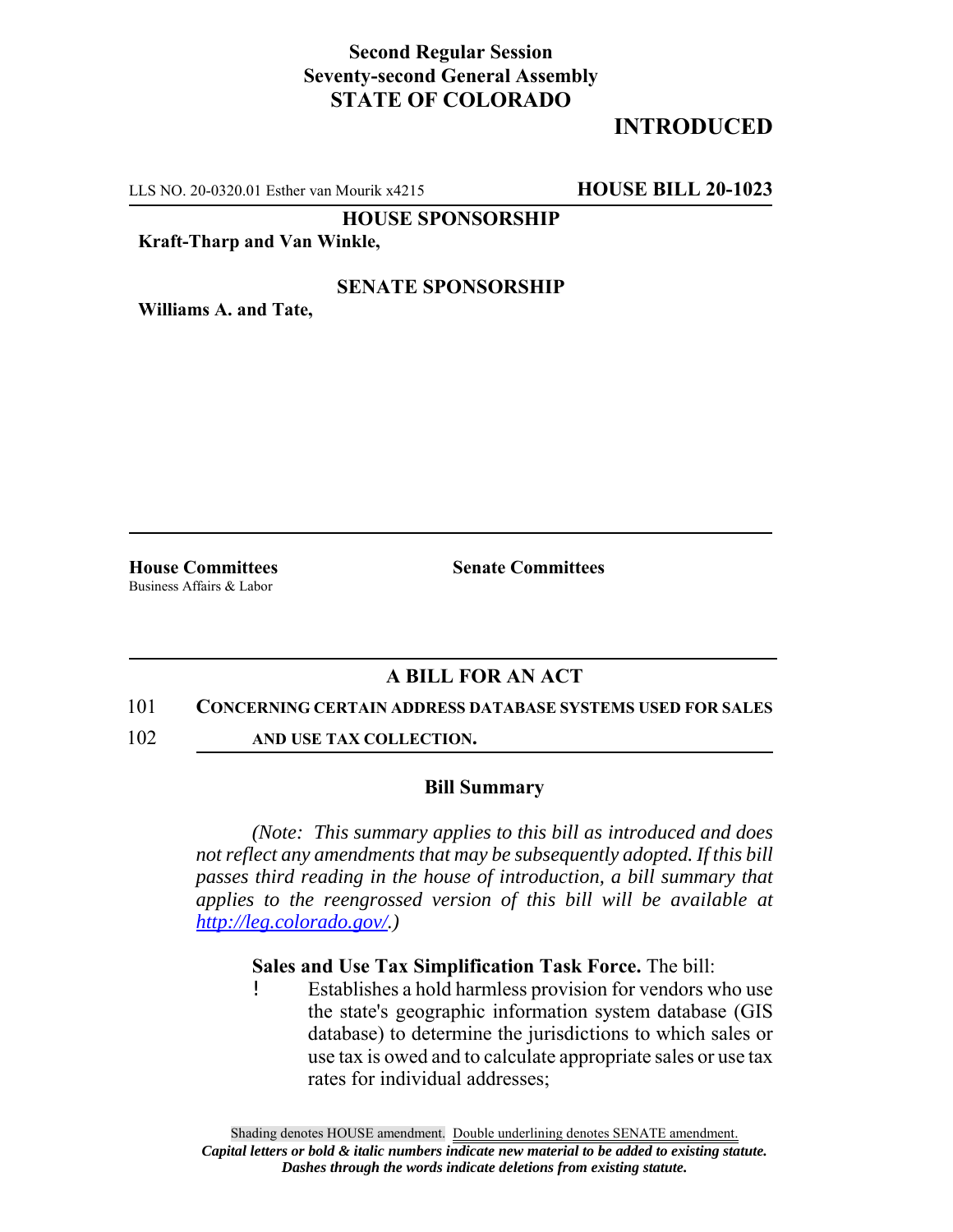## **Second Regular Session Seventy-second General Assembly STATE OF COLORADO**

# **INTRODUCED**

LLS NO. 20-0320.01 Esther van Mourik x4215 **HOUSE BILL 20-1023**

**HOUSE SPONSORSHIP**

### **Kraft-Tharp and Van Winkle,**

### **SENATE SPONSORSHIP**

**Williams A. and Tate,**

Business Affairs & Labor

**House Committees Senate Committees** 

### **A BILL FOR AN ACT**

### 101 **CONCERNING CERTAIN ADDRESS DATABASE SYSTEMS USED FOR SALES**

102 **AND USE TAX COLLECTION.**

### **Bill Summary**

*(Note: This summary applies to this bill as introduced and does not reflect any amendments that may be subsequently adopted. If this bill passes third reading in the house of introduction, a bill summary that applies to the reengrossed version of this bill will be available at http://leg.colorado.gov/.)*

### **Sales and Use Tax Simplification Task Force.** The bill:

! Establishes a hold harmless provision for vendors who use the state's geographic information system database (GIS database) to determine the jurisdictions to which sales or use tax is owed and to calculate appropriate sales or use tax rates for individual addresses;

Shading denotes HOUSE amendment. Double underlining denotes SENATE amendment. *Capital letters or bold & italic numbers indicate new material to be added to existing statute. Dashes through the words indicate deletions from existing statute.*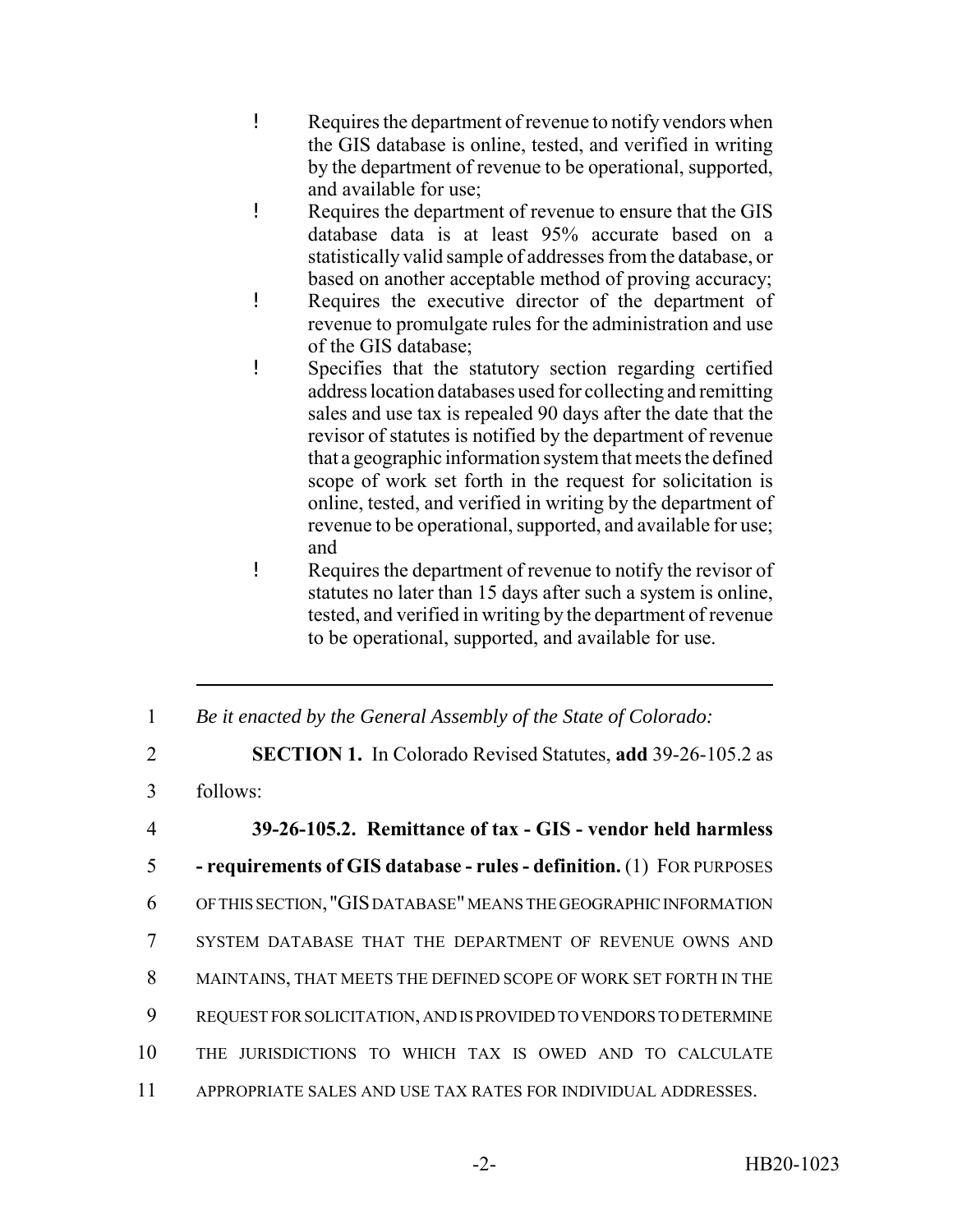- ! Requires the department of revenue to notify vendors when the GIS database is online, tested, and verified in writing by the department of revenue to be operational, supported, and available for use;
- ! Requires the department of revenue to ensure that the GIS database data is at least 95% accurate based on a statistically valid sample of addresses from the database, or based on another acceptable method of proving accuracy;
- ! Requires the executive director of the department of revenue to promulgate rules for the administration and use of the GIS database;
- ! Specifies that the statutory section regarding certified address location databases used for collecting and remitting sales and use tax is repealed 90 days after the date that the revisor of statutes is notified by the department of revenue that a geographic information system that meets the defined scope of work set forth in the request for solicitation is online, tested, and verified in writing by the department of revenue to be operational, supported, and available for use; and
- ! Requires the department of revenue to notify the revisor of statutes no later than 15 days after such a system is online, tested, and verified in writing by the department of revenue to be operational, supported, and available for use.
- 1 *Be it enacted by the General Assembly of the State of Colorado:*
- 2 **SECTION 1.** In Colorado Revised Statutes, **add** 39-26-105.2 as
- 3 follows:

 **39-26-105.2. Remittance of tax - GIS - vendor held harmless - requirements of GIS database - rules - definition.** (1) FOR PURPOSES OF THIS SECTION, "GIS DATABASE" MEANS THE GEOGRAPHIC INFORMATION SYSTEM DATABASE THAT THE DEPARTMENT OF REVENUE OWNS AND MAINTAINS, THAT MEETS THE DEFINED SCOPE OF WORK SET FORTH IN THE REQUEST FOR SOLICITATION, AND IS PROVIDED TO VENDORS TO DETERMINE THE JURISDICTIONS TO WHICH TAX IS OWED AND TO CALCULATE APPROPRIATE SALES AND USE TAX RATES FOR INDIVIDUAL ADDRESSES.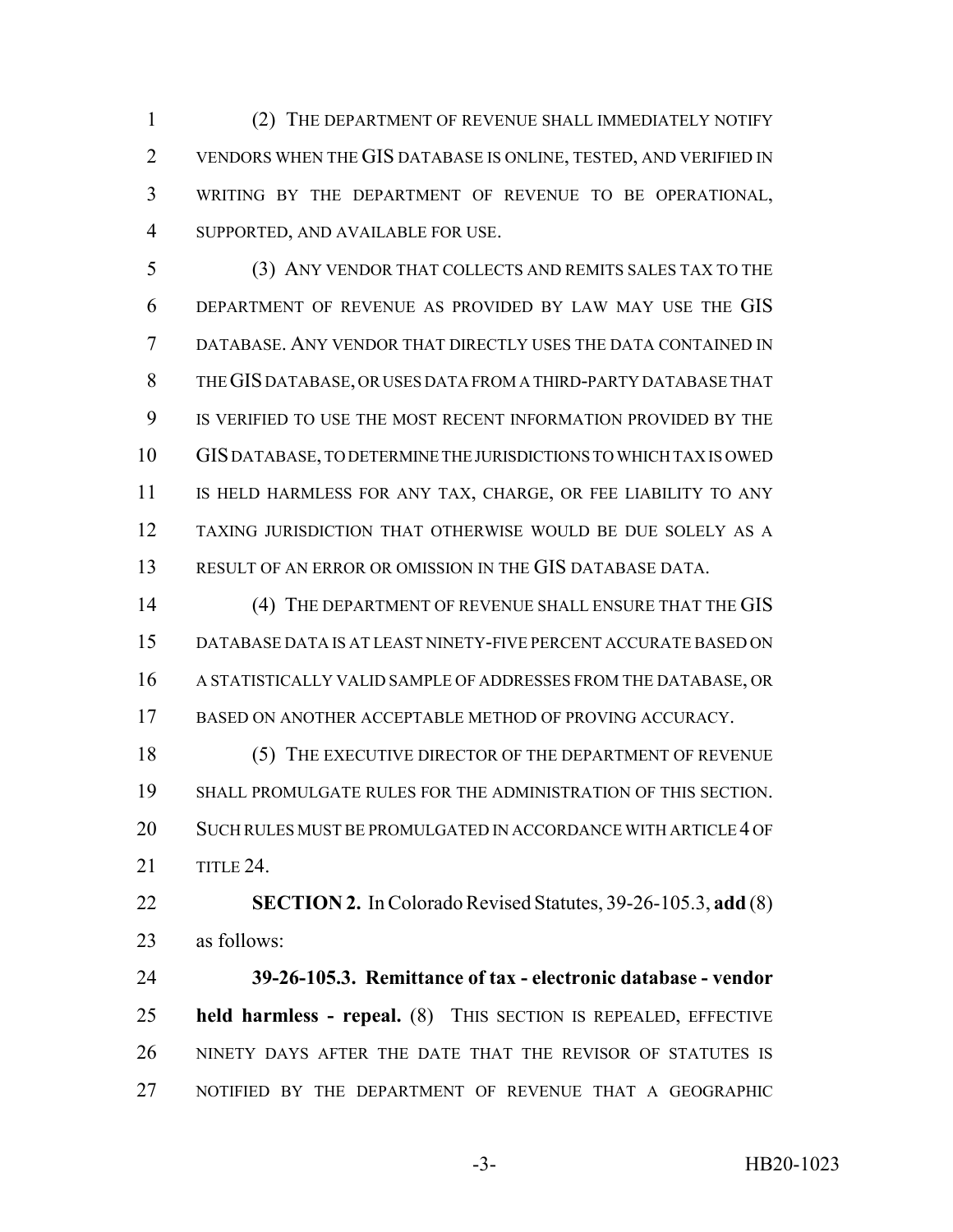(2) THE DEPARTMENT OF REVENUE SHALL IMMEDIATELY NOTIFY VENDORS WHEN THE GIS DATABASE IS ONLINE, TESTED, AND VERIFIED IN WRITING BY THE DEPARTMENT OF REVENUE TO BE OPERATIONAL, SUPPORTED, AND AVAILABLE FOR USE.

 (3) ANY VENDOR THAT COLLECTS AND REMITS SALES TAX TO THE DEPARTMENT OF REVENUE AS PROVIDED BY LAW MAY USE THE GIS DATABASE. ANY VENDOR THAT DIRECTLY USES THE DATA CONTAINED IN THE GIS DATABASE, OR USES DATA FROM A THIRD-PARTY DATABASE THAT IS VERIFIED TO USE THE MOST RECENT INFORMATION PROVIDED BY THE GIS DATABASE, TO DETERMINE THE JURISDICTIONS TO WHICH TAX IS OWED IS HELD HARMLESS FOR ANY TAX, CHARGE, OR FEE LIABILITY TO ANY TAXING JURISDICTION THAT OTHERWISE WOULD BE DUE SOLELY AS A RESULT OF AN ERROR OR OMISSION IN THE GIS DATABASE DATA.

14 (4) THE DEPARTMENT OF REVENUE SHALL ENSURE THAT THE GIS DATABASE DATA IS AT LEAST NINETY-FIVE PERCENT ACCURATE BASED ON A STATISTICALLY VALID SAMPLE OF ADDRESSES FROM THE DATABASE, OR BASED ON ANOTHER ACCEPTABLE METHOD OF PROVING ACCURACY.

18 (5) THE EXECUTIVE DIRECTOR OF THE DEPARTMENT OF REVENUE SHALL PROMULGATE RULES FOR THE ADMINISTRATION OF THIS SECTION. SUCH RULES MUST BE PROMULGATED IN ACCORDANCE WITH ARTICLE 4 OF TITLE 24.

 **SECTION 2.** In Colorado Revised Statutes, 39-26-105.3, **add** (8) as follows:

 **39-26-105.3. Remittance of tax - electronic database - vendor held harmless - repeal.** (8) THIS SECTION IS REPEALED, EFFECTIVE NINETY DAYS AFTER THE DATE THAT THE REVISOR OF STATUTES IS NOTIFIED BY THE DEPARTMENT OF REVENUE THAT A GEOGRAPHIC